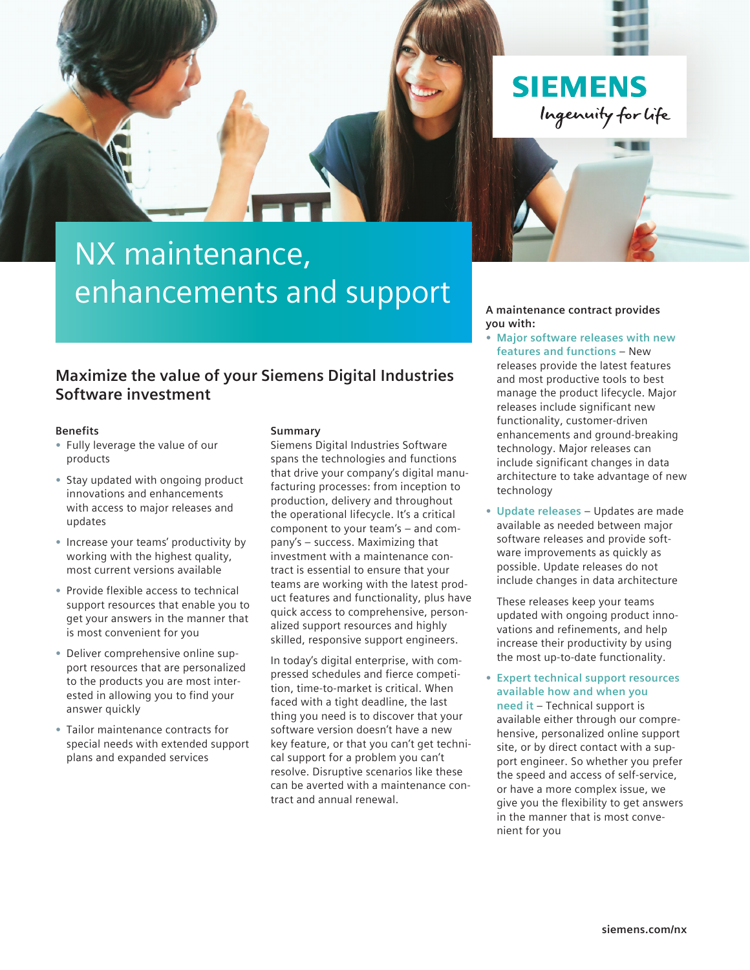

# NX maintenance, enhancements and support

### **Maximize the value of your Siemens Digital Industries Software investment**

#### **Benefits**

- **•** Fully leverage the value of our products
- **•** Stay updated with ongoing product innovations and enhancements with access to major releases and updates
- **•** Increase your teams' productivity by working with the highest quality, most current versions available
- **•** Provide flexible access to technical support resources that enable you to get your answers in the manner that is most convenient for you
- **•** Deliver comprehensive online support resources that are personalized to the products you are most interested in allowing you to find your answer quickly
- **•** Tailor maintenance contracts for special needs with extended support plans and expanded services

#### **Summary**

Siemens Digital Industries Software spans the technologies and functions that drive your company's digital manufacturing processes: from inception to production, delivery and throughout the operational lifecycle. It's a critical component to your team's – and company's – success. Maximizing that investment with a maintenance contract is essential to ensure that your teams are working with the latest product features and functionality, plus have quick access to comprehensive, personalized support resources and highly skilled, responsive support engineers.

In today's digital enterprise, with compressed schedules and fierce competition, time-to-market is critical. When faced with a tight deadline, the last thing you need is to discover that your software version doesn't have a new key feature, or that you can't get technical support for a problem you can't resolve. Disruptive scenarios like these can be averted with a maintenance contract and annual renewal.

**A maintenance contract provides you with:**

- **• Major software releases with new features and functions** – New releases provide the latest features and most productive tools to best manage the product lifecycle. Major releases include significant new functionality, customer-driven enhancements and ground-breaking technology. Major releases can include significant changes in data architecture to take advantage of new technology
- **• Update releases** Updates are made available as needed between major software releases and provide software improvements as quickly as possible. Update releases do not include changes in data architecture

These releases keep your teams updated with ongoing product innovations and refinements, and help increase their productivity by using the most up-to-date functionality.

**• Expert technical support resources available how and when you need it** – Technical support is

available either through our comprehensive, personalized online support site, or by direct contact with a support engineer. So whether you prefer the speed and access of self-service, or have a more complex issue, we give you the flexibility to get answers in the manner that is most convenient for you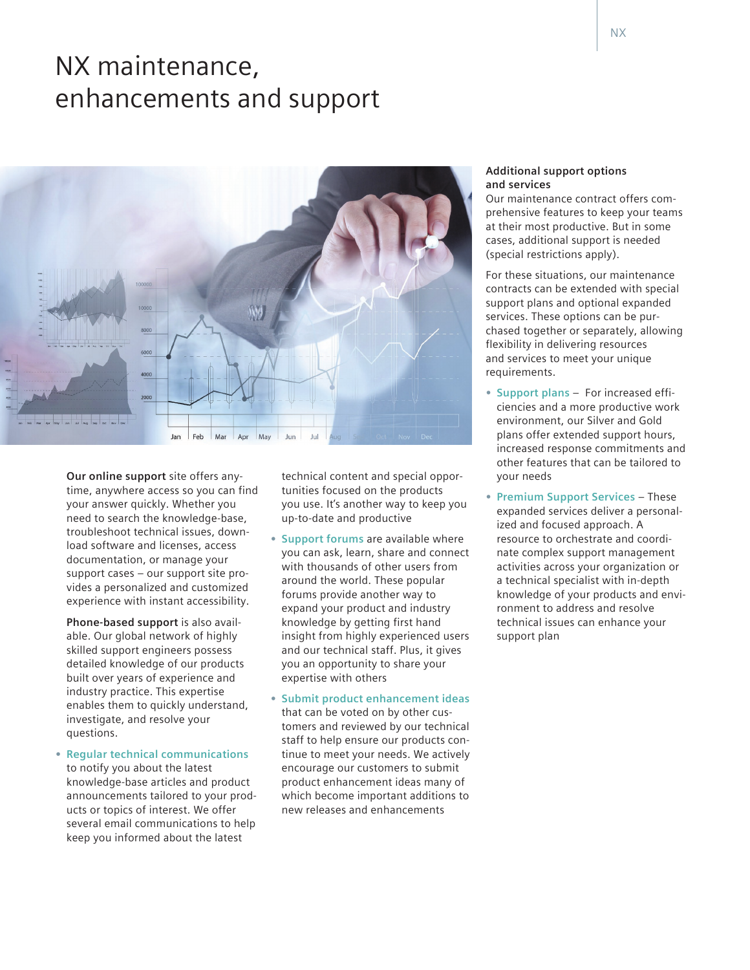## NX maintenance, enhancements and support



**Our online support** site offers anytime, anywhere access so you can find your answer quickly. Whether you need to search the knowledge-base, troubleshoot technical issues, download software and licenses, access documentation, or manage your support cases – our support site provides a personalized and customized experience with instant accessibility.

**Phone-based support** is also available. Our global network of highly skilled support engineers possess detailed knowledge of our products built over years of experience and industry practice. This expertise enables them to quickly understand, investigate, and resolve your questions.

**• Regular technical communications** to notify you about the latest knowledge-base articles and product announcements tailored to your products or topics of interest. We offer several email communications to help keep you informed about the latest

technical content and special opportunities focused on the products you use. It's another way to keep you up-to-date and productive

- **• Support forums** are available where you can ask, learn, share and connect with thousands of other users from around the world. These popular forums provide another way to expand your product and industry knowledge by getting first hand insight from highly experienced users and our technical staff. Plus, it gives you an opportunity to share your expertise with others
- **• Submit product enhancement ideas**  that can be voted on by other customers and reviewed by our technical staff to help ensure our products continue to meet your needs. We actively encourage our customers to submit product enhancement ideas many of which become important additions to new releases and enhancements

#### **Additional support options and services**

Our maintenance contract offers comprehensive features to keep your teams at their most productive. But in some cases, additional support is needed (special restrictions apply).

For these situations, our maintenance contracts can be extended with special support plans and optional expanded services. These options can be purchased together or separately, allowing flexibility in delivering resources and services to meet your unique requirements.

- **• Support plans** For increased efficiencies and a more productive work environment, our Silver and Gold plans offer extended support hours, increased response commitments and other features that can be tailored to your needs
- **• Premium Support Services** These expanded services deliver a personalized and focused approach. A resource to orchestrate and coordinate complex support management activities across your organization or a technical specialist with in-depth knowledge of your products and environment to address and resolve technical issues can enhance your support plan